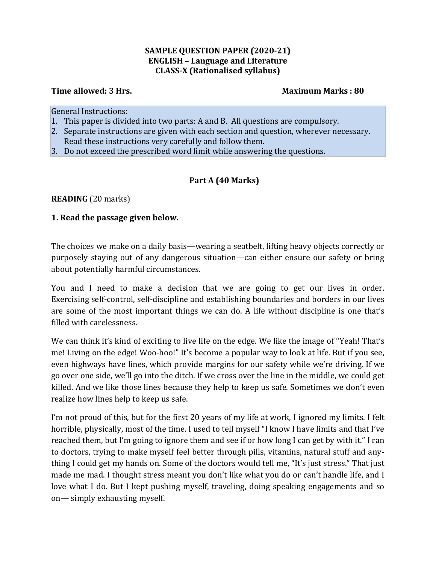#### **SAMPLE QUESTION PAPER (2020-21) ENGLISH – Language and Literature CLASS-X (Rationalised syllabus)**

#### **Time allowed: 3 Hrs. Maximum Marks : 80**

General Instructions:

- 1. This paper is divided into two parts: A and B. All questions are compulsory.
- 2. Separate instructions are given with each section and question, wherever necessary. Read these instructions very carefully and follow them.
- 3. Do not exceed the prescribed word limit while answering the questions.

# **Part A (40 Marks)**

**READING** (20 marks)

#### **1. Read the passage given below.**

The choices we make on a daily basis—wearing a seatbelt, lifting heavy objects correctly or purposely staying out of any dangerous situation—can either ensure our safety or bring about potentially harmful circumstances.

You and I need to make a decision that we are going to get our lives in order. Exercising self-control, self-discipline and establishing boundaries and borders in our lives are some of the most important things we can do. A life without discipline is one that's filled with carelessness.

We can think it's kind of exciting to live life on the edge. We like the image of "Yeah! That's me! Living on the edge! Woo-hoo!" It's become a popular way to look at life. But if you see, even highways have lines, which provide margins for our safety while we're driving. If we go over one side, we'll go into the ditch. If we cross over the line in the middle, we could get killed. And we like those lines because they help to keep us safe. Sometimes we don't even realize how lines help to keep us safe.

I'm not proud of this, but for the first 20 years of my life at work, I ignored my limits. I felt horrible, physically, most of the time. I used to tell myself "I know I have limits and that I've reached them, but I'm going to ignore them and see if or how long I can get by with it." I ran to doctors, trying to make myself feel better through pills, vitamins, natural stuff and anything I could get my hands on. Some of the doctors would tell me, "It's just stress." That just made me mad. I thought stress meant you don't like what you do or can't handle life, and I love what I do. But I kept pushing myself, traveling, doing speaking engagements and so on— simply exhausting myself.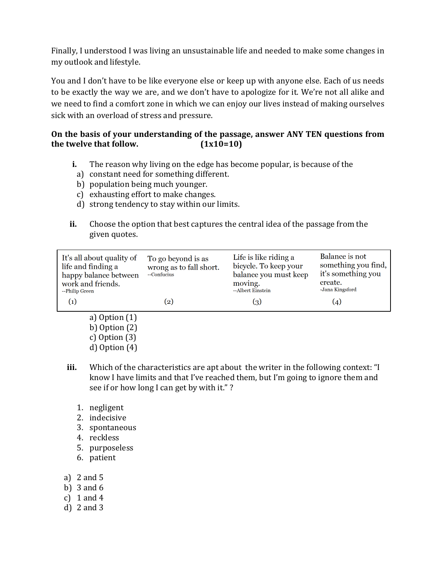Finally, I understood I was living an unsustainable life and needed to make some changes in my outlook and lifestyle.

You and I don't have to be like everyone else or keep up with anyone else. Each of us needs to be exactly the way we are, and we don't have to apologize for it. We're not all alike and we need to find a comfort zone in which we can enjoy our lives instead of making ourselves sick with an overload of stress and pressure.

# **On the basis of your understanding of the passage, answer ANY TEN questions from**  the twelve that follow.  $(1x10=10)$

- **i.** The reason why living on the edge has become popular, is because of the
	- a) constant need for something different.
	- b) population being much younger.
	- c) exhausting effort to make changes.
	- d) strong tendency to stay within our limits.
- **ii.** Choose the option that best captures the central idea of the passage from the given quotes.

| It's all about quality of<br>life and finding a<br>happy balance between<br>work and friends.<br>--Philip Green | To go beyond is as<br>wrong as to fall short.<br>--Confucius | Life is like riding a<br>bicycle. To keep your<br>balance you must keep<br>moving.<br>--Albert Einstein | Balance is not<br>something you find,<br>it's something you<br>create.<br>-Jana Kingsford |
|-----------------------------------------------------------------------------------------------------------------|--------------------------------------------------------------|---------------------------------------------------------------------------------------------------------|-------------------------------------------------------------------------------------------|
| $\left( 1\right)$                                                                                               | $\left( 2\right)$                                            | (3)                                                                                                     | (4)                                                                                       |

- a) Option (1) b) Option (2) c) Option (3) d) Option (4)
- **iii.** Which of the characteristics are apt about the writer in the following context: "I know I have limits and that I've reached them, but I'm going to ignore them and see if or how long I can get by with it." ?
	- 1. negligent
	- 2. indecisive
	- 3. spontaneous
	- 4. reckless
	- 5. purposeless
	- 6. patient
- a) 2 and 5
- b) 3 and 6
- c)  $1$  and  $4$
- d) 2 and 3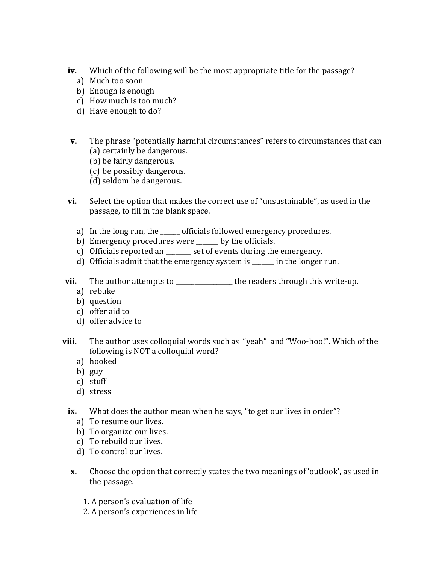- **iv.** Which of the following will be the most appropriate title for the passage?
	- a) Much too soon
	- b) Enough is enough
	- c) How much is too much?
	- d) Have enough to do?
- **v.** The phrase "potentially harmful circumstances" refers to circumstances that can (a) certainly be dangerous.
	- (b) be fairly dangerous.
	- (c) be possibly dangerous.
	- (d) seldom be dangerous.
- **vi.** Select the option that makes the correct use of "unsustainable", as used in the passage, to fill in the blank space.
	- a) In the long run, the \_\_\_\_\_\_ officials followed emergency procedures.
	- b) Emergency procedures were \_\_\_\_\_\_\_ by the officials.
	- c) Officials reported an set of events during the emergency.
	- d) Officials [admit](https://www.collinsdictionary.com/dictionary/english/admit) that the [emergency](https://www.collinsdictionary.com/dictionary/english/emergency) system is \_\_\_\_\_\_\_ in the longer run.
- **vii.** The author attempts to \_\_\_\_\_\_\_\_\_\_\_\_\_\_\_\_\_ the readers through this write-up.
	- a) rebuke
	- b) question
	- c) offer aid to
	- d) offer advice to
- **viii.** The author uses colloquial words such as "yeah" and "Woo-hoo!". Which of the following is NOT a colloquial word?
	- a) hooked
	- b) guy
	- c) stuff
	- d) stress
	- **ix.** What does the author mean when he says, "to get our lives in order"?
		- a) To resume our lives.
		- b) To organize our lives.
		- c) To rebuild our lives.
		- d) To control our lives.
	- **x.** Choose the option that correctly states the two meanings of 'outlook', as used in the passage.
		- 1. A person's evaluation of life
		- 2. A person's experiences in life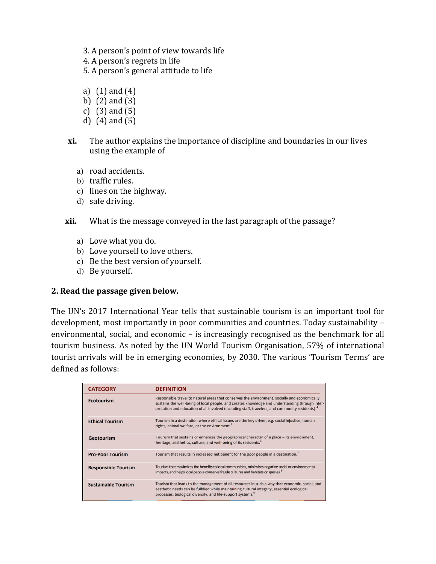- 3. A person's point of view towards life
- 4. A person's regrets in life

5. A person's general attitude to life

- a) (1) and (4)
- b) (2) and (3)
- c) (3) and (5)
- d) (4) and (5)
- **xi.** The author explains the importance of discipline and boundaries in our lives using the example of
	- a) road accidents.
	- b) traffic rules.
	- c) lines on the highway.
	- d) safe driving.
- **xii.** What is the message conveyed in the last paragraph of the passage?
	- a) Love what you do.
	- b) Love yourself to love others.
	- c) Be the best version of yourself.
	- d) Be yourself.

# **2. Read the passage given below.**

The UN's 2017 International Year tells that sustainable tourism is an important tool for development, most importantly in poor communities and countries. Today sustainability – environmental, social, and economic – is increasingly recognised as the benchmark for all tourism business. As noted by the UN World Tourism Organisation, 57% of international tourist arrivals will be in emerging economies, by 2030. The various 'Tourism Terms' are defined as follows:

| <b>CATEGORY</b>            | <b>DEFINITION</b>                                                                                                                                                                                                                                                                                               |
|----------------------------|-----------------------------------------------------------------------------------------------------------------------------------------------------------------------------------------------------------------------------------------------------------------------------------------------------------------|
| <b>Ecotourism</b>          | Responsible travel to natural areas that conserves the environment, socially and economically<br>sustains the well-being of local people, and creates knowledge and understanding through inter-<br>pretation and education of all involved (including staff, travelers, and community residents). <sup>4</sup> |
| <b>Ethical Tourism</b>     | Tourism in a destination where ethical issues are the key driver, e.g. social injustice, human<br>rights, animal welfare, or the environment. <sup>5</sup>                                                                                                                                                      |
| Geotourism                 | Tourism that sustains or enhances the geographical character of a place - its environment,<br>heritage, aesthetics, culture, and well-being of its residents. <sup>6</sup>                                                                                                                                      |
| <b>Pro-Poor Tourism</b>    | Tourism that results in increased net benefit for the poor people in a destination. <sup>7</sup>                                                                                                                                                                                                                |
| <b>Responsible Tourism</b> | Tourism that maximizes the benefits to local communities, minimizes negative social or environmental<br>impacts, and helps local people conserve fragile cultures and habitats or species. <sup>8</sup>                                                                                                         |
| <b>Sustainable Tourism</b> | Tourism that leads to the management of all resources in such a way that economic, social, and<br>aesthetic needs can be fulfilled while maintaining cultural integrity, essential ecological<br>processes, biological diversity, and life-support systems. <sup>9</sup>                                        |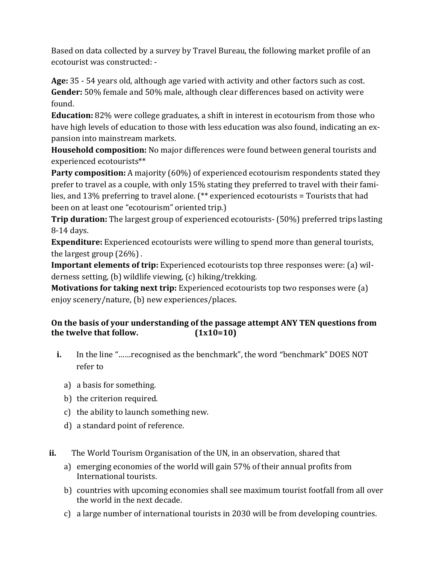Based on data collected by a survey by Travel Bureau, the following market profile of an ecotourist was constructed: -

**Age:** 35 - 54 years old, although age varied with activity and other factors such as cost. **Gender:** 50% female and 50% male, although clear differences based on activity were found.

**Education:** 82% were college graduates, a shift in interest in ecotourism from those who have high levels of education to those with less education was also found, indicating an expansion into mainstream markets.

**Household composition:** No major differences were found between general tourists and experienced ecotourists\*\*

**Party composition:** A majority (60%) of experienced ecotourism respondents stated they prefer to travel as a couple, with only 15% stating they preferred to travel with their families, and 13% preferring to travel alone. (\*\* experienced ecotourists = Tourists that had been on at least one "ecotourism" oriented trip.)

**Trip duration:** The largest group of experienced ecotourists- (50%) preferred trips lasting 8-14 days.

**Expenditure:** Experienced ecotourists were willing to spend more than general tourists, the largest group (26%) .

**Important elements of trip:** Experienced ecotourists top three responses were: (a) wilderness setting, (b) wildlife viewing, (c) hiking/trekking.

**Motivations for taking next trip:** Experienced ecotourists top two responses were (a) enjoy scenery/nature, (b) new experiences/places.

# **On the basis of your understanding of the passage attempt ANY TEN questions from the twelve that follow. (1x10=10)**

- **i.** In the line "……recognised as the benchmark", the word "benchmark" DOES NOT refer to
	- a) a basis for something.
	- b) the criterion required.
	- c) the ability to launch something new.
	- d) a standard point of reference.
- **ii.** The World Tourism Organisation of the UN, in an observation, shared that
	- a) emerging economies of the world will gain 57% of their annual profits from International tourists.
	- b) countries with upcoming economies shall see maximum tourist footfall from all over the world in the next decade.
	- c) a large number of international tourists in 2030 will be from developing countries.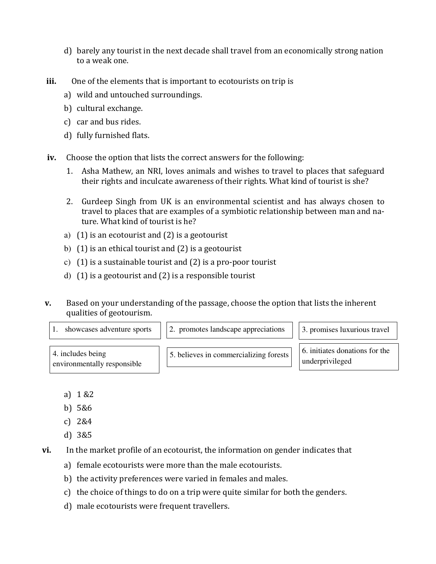- d) barely any tourist in the next decade shall travel from an economically strong nation to a weak one.
- **iii.** One of the elements that is important to ecotourists on trip is
	- a) wild and untouched surroundings.
	- b) cultural exchange.
	- c) car and bus rides.
	- d) fully furnished flats.
- **iv.** Choose the option that lists the correct answers for the following:
	- 1. Asha Mathew, an NRI, loves animals and wishes to travel to places that safeguard their rights and inculcate awareness of their rights. What kind of tourist is she?
	- 2. Gurdeep Singh from UK is an environmental scientist and has always chosen to travel to places that are examples of a symbiotic relationship between man and nature. What kind of tourist is he?
	- a) (1) is an ecotourist and (2) is a geotourist
	- b) (1) is an ethical tourist and (2) is a geotourist
	- c) (1) is a sustainable tourist and (2) is a pro-poor tourist
	- d) (1) is a geotourist and (2) is a responsible tourist
- **v.** Based on your understanding of the passage, choose the option that lists the inherent qualities of geotourism.
	-
	- 1. showcases adventure sports  $\|$  2. promotes landscape appreciations  $\|$  3. promises luxurious travel

4. includes being environmentally responsible  $\overline{5}$ . believes in commercializing forests  $\left| \right|$  6. initiates donations for the

underprivileged

- a) 1 &2
- b) 5&6
- c) 2&4
- d) 3&5
- **vi.** In the market profile of an ecotourist, the information on gender indicates that
	- a) female ecotourists were more than the male ecotourists.
	- b) the activity preferences were varied in females and males.
	- c) the choice of things to do on a trip were quite similar for both the genders.
	- d) male ecotourists were frequent travellers.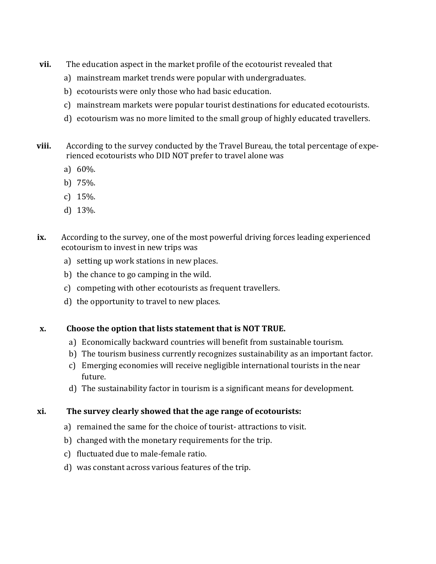- **vii.** The education aspect in the market profile of the ecotourist revealed that
	- a) mainstream market trends were popular with undergraduates.
	- b) ecotourists were only those who had basic education.
	- c) mainstream markets were popular tourist destinations for educated ecotourists.
	- d) ecotourism was no more limited to the small group of highly educated travellers.
- **viii.** According to the survey conducted by the Travel Bureau, the total percentage of experienced ecotourists who DID NOT prefer to travel alone was
	- a) 60%.
	- b) 75%.
	- c) 15%.
	- d) 13%.
- **ix.** According to the survey, one of the most powerful driving forces leading experienced ecotourism to invest in new trips was
	- a) setting up work stations in new places.
	- b) the chance to go camping in the wild.
	- c) competing with other ecotourists as frequent travellers.
	- d) the opportunity to travel to new places.

# **x. Choose the option that lists statement that is NOT TRUE.**

- a) Economically backward countries will benefit from sustainable tourism.
- b) The tourism business currently recognizes sustainability as an important factor.
- c) Emerging economies will receive negligible international tourists in the near future.
- d) The sustainability factor in tourism is a significant means for development.

# **xi. The survey clearly showed that the age range of ecotourists:**

- a) remained the same for the choice of tourist- attractions to visit.
- b) changed with the monetary requirements for the trip.
- c) fluctuated due to male-female ratio.
- d) was constant across various features of the trip.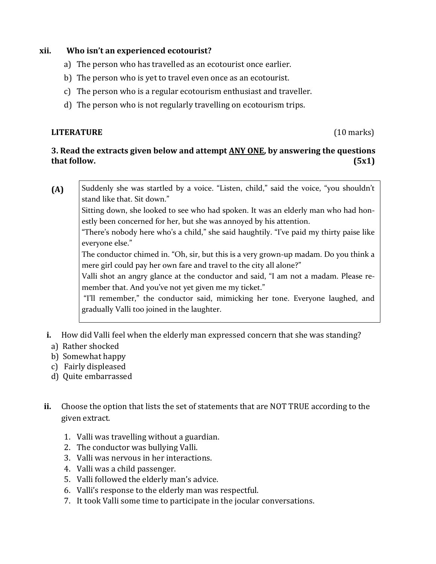#### **xii. Who isn't an experienced ecotourist?**

- a) The person who has travelled as an ecotourist once earlier.
- b) The person who is yet to travel even once as an ecotourist.
- c) The person who is a regular ecotourism enthusiast and traveller.
- d) The person who is not regularly travelling on ecotourism trips.

#### **LITERATURE** (10 marks)

#### **3. Read the extracts given below and attempt ANY ONE, by answering the questions that follow. (5x1)**

**(A)**  Suddenly she was startled by a voice. "Listen, child," said the voice, "you shouldn't stand like that. Sit down."

Sitting down, she looked to see who had spoken. It was an elderly man who had honestly been concerned for her, but she was annoyed by his attention.

"There's nobody here who's a child," she said haughtily. "I've paid my thirty paise like everyone else."

The conductor chimed in. "Oh, sir, but this is a very grown-up madam. Do you think a mere girl could pay her own fare and travel to the city all alone?"

Valli shot an angry glance at the conductor and said, "I am not a madam. Please remember that. And you've not yet given me my ticket."

"I'll remember," the conductor said, mimicking her tone. Everyone laughed, and gradually Valli too joined in the laughter.

- **i.** How did Valli feel when the elderly man expressed concern that she was standing?
	- a) Rather shocked
	- b) Somewhat happy
	- c) Fairly displeased
	- d) Quite embarrassed
- **ii.** Choose the option that lists the set of statements that are NOT TRUE according to the given extract.
	- 1. Valli was travelling without a guardian.
	- 2. The conductor was bullying Valli.
	- 3. Valli was nervous in her interactions.
	- 4. Valli was a child passenger.
	- 5. Valli followed the elderly man's advice.
	- 6. Valli's response to the elderly man was respectful.
	- 7. It took Valli some time to participate in the jocular conversations.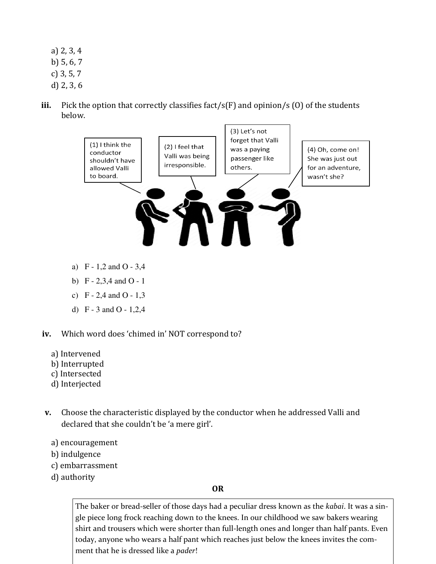- a) 2, 3, 4
- b) 5, 6, 7
- c) 3, 5, 7
- d) 2, 3, 6
- iii. Pick the option that correctly classifies fact/s(F) and opinion/s (0) of the students below.



- 
- d) F 3 and O 1,2,4
- **iv.** Which word does 'chimed in' NOT correspond to?
	- a) Intervened
	- b) Interrupted
	- c) Intersected
	- d) Interjected
- **v.** Choose the characteristic displayed by the conductor when he addressed Valli and declared that she couldn't be 'a mere girl'.
	- a) encouragement
	- b) indulgence
	- c) embarrassment
	- d) authority

#### **OR**

The baker or bread-seller of those days had a peculiar dress known as the *kabai*. It was a single piece long frock reaching down to the knees. In our childhood we saw bakers wearing shirt and trousers which were shorter than full-length ones and longer than half pants. Even today, anyone who wears a half pant which reaches just below the knees invites the comment that he is dressed like a *pader*!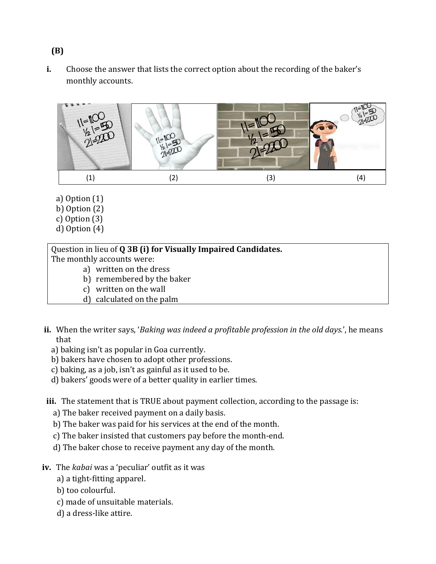**i.** Choose the answer that lists the correct option about the recording of the baker's monthly accounts.



- a) Option (1)
- b) Option (2)
- c) Option (3)
- d) Option (4)

Question in lieu of **Q 3B (i) for Visually Impaired Candidates.** 

The monthly accounts were:

- a) written on the dress
- b) remembered by the baker
- c) written on the wall
- d) calculated on the palm
- **ii.** When the writer says, '*Baking was indeed a profitable profession in the old days.*', he means that
	- a) baking isn't as popular in Goa currently.
	- b) bakers have chosen to adopt other professions.
	- c) baking, as a job, isn't as gainful as it used to be.
	- d) bakers' goods were of a better quality in earlier times.
- **iii.** The statement that is TRUE about payment collection, according to the passage is:
	- a) The baker received payment on a daily basis.
	- b) The baker was paid for his services at the end of the month.
	- c) The baker insisted that customers pay before the month-end.
	- d) The baker chose to receive payment any day of the month.
- **iv.** The *kabai* was a 'peculiar' outfit as it was
	- a) a tight-fitting apparel.
	- b) too colourful.
	- c) made of unsuitable materials.
	- d) a dress-like attire.

# **(B)**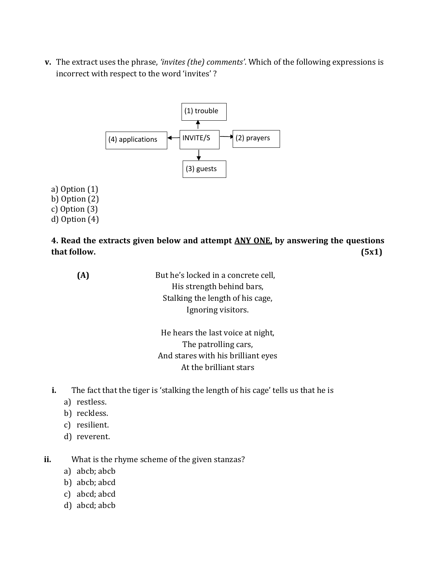**v.** The extract uses the phrase, *'invites (the) comments'*. Which of the following expressions is incorrect with respect to the word 'invites' ?



a) Option (1) b) Option (2) c) Option (3) d) Option (4)

**4. Read the extracts given below and attempt ANY ONE, by answering the questions that follow. (5x1)** 

**(A)** But he's locked in a concrete cell, His strength behind bars, Stalking the length of his cage, Ignoring visitors.

> He hears the last voice at night, The patrolling cars, And stares with his brilliant eyes At the brilliant stars

- **i.** The fact that the tiger is 'stalking the length of his cage' tells us that he is
	- a) restless.
	- b) reckless.
	- c) resilient.
	- d) reverent.

**ii.** What is the rhyme scheme of the given stanzas?

- a) abcb; abcb
- b) abcb; abcd
- c) abcd; abcd
- d) abcd; abcb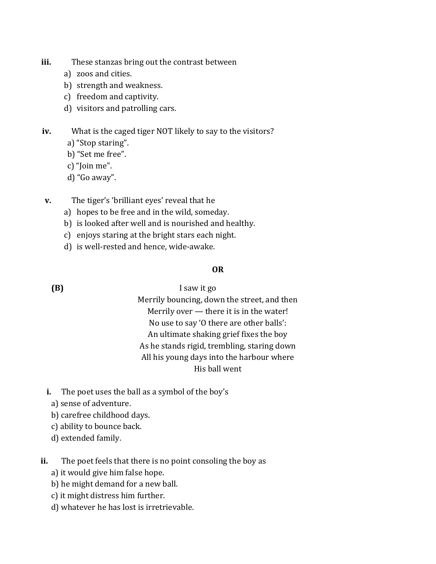- **iii.** These stanzas bring out the contrast between
	- a) zoos and cities.
	- b) strength and weakness.
	- c) freedom and captivity.
	- d) visitors and patrolling cars.

**iv.** What is the caged tiger NOT likely to say to the visitors?

- a) "Stop staring".
- b) "Set me free".
- c) "Join me".
- d) "Go away".
- **v.** The tiger's 'brilliant eyes' reveal that he
	- a) hopes to be free and in the wild, someday.
	- b) is looked after well and is nourished and healthy.
	- c) enjoys staring at the bright stars each night.
	- d) is well-rested and hence, wide-awake.

#### **OR**

**(B)** I saw it go

Merrily bouncing, down the street, and then Merrily over — there it is in the water! No use to say 'O there are other balls': An ultimate shaking grief fixes the boy As he stands rigid, trembling, staring down All his young days into the harbour where His ball went

- **i.** The poet uses the ball as a symbol of the boy's
	- a) sense of adventure.
	- b) carefree childhood days.
	- c) ability to bounce back.
	- d) extended family.
- **ii.** The poet feels that there is no point consoling the boy as
	- a) it would give him false hope.
	- b) he might demand for a new ball.
	- c) it might distress him further.
	- d) whatever he has lost is irretrievable.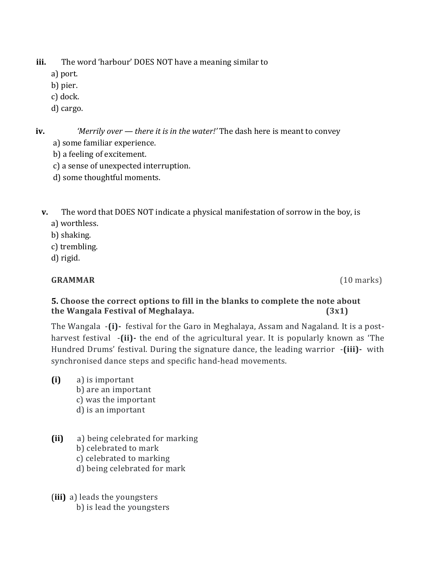**iii.** The word 'harbour' DOES NOT have a meaning similar to

- a) port.
- b) pier.
- c) dock.
- d) cargo.

**iv.** *'Merrily over — there it is in the water!'* The dash here is meant to convey a) some familiar experience.

- b) a feeling of excitement.
- c) a sense of unexpected interruption.
- d) some thoughtful moments.
- **v.** The word that DOES NOT indicate a physical manifestation of sorrow in the boy, is a) worthless.
	- b) shaking.
	- c) trembling.
	- d) rigid.

# **GRAMMAR** (10 marks)

# **5. Choose the correct options to fill in the blanks to complete the note about the Wangala Festival of Meghalaya. (3x1)**

The Wangala -**(i)-** festival for the Garo in Meghalaya, Assam and Nagaland. It is a postharvest festival -**(ii)-** the end of the agricultural year. It is popularly known as 'The Hundred Drums' festival. During the signature dance, the leading warrior -**(iii)-** with synchronised dance steps and specific hand-head movements.

- **(i)** a) is important b) are an important c) was the important d) is an important
- **(ii)** a) being celebrated for marking b) celebrated to mark c) celebrated to marking d) being celebrated for mark
- (**iii)** a) leads the youngsters b) is lead the youngsters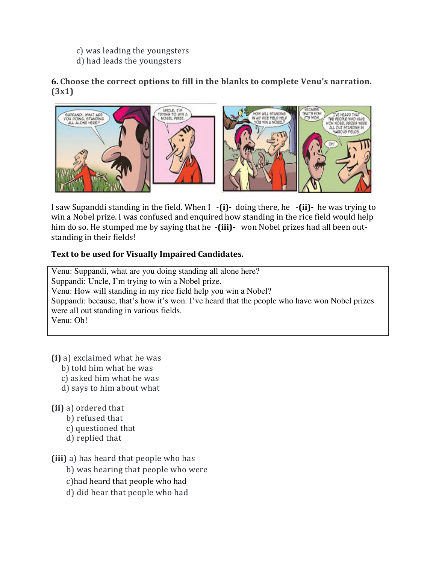- c) was leading the youngsters
- d) had leads the youngsters

# **6. Choose the correct options to fill in the blanks to complete Venu's narration. (3x1)**



I saw Supanddi standing in the field. When I -**(i)-** doing there, he -**(ii)-** he was trying to win a Nobel prize. I was confused and enquired how standing in the rice field would help him do so. He stumped me by saying that he -**(iii)-** won Nobel prizes had all been outstanding in their fields!

# **Text to be used for Visually Impaired Candidates.**

Venu: Suppandi, what are you doing standing all alone here? Suppandi: Uncle, I'm trying to win a Nobel prize. Venu: How will standing in my rice field help you win a Nobel? Suppandi: because, that's how it's won. I've heard that the people who have won Nobel prizes were all out standing in various fields. Venu: Oh!

- **(i)** a) exclaimed what he was
	- b) told him what he was
	- c) asked him what he was
	- d) says to him about what
- **(ii)** a) ordered that
	- b) refused that
	- c) questioned that
	- d) replied that

**(iii)** a) has heard that people who has

b) was hearing that people who were

c)had heard that people who had

d) did hear that people who had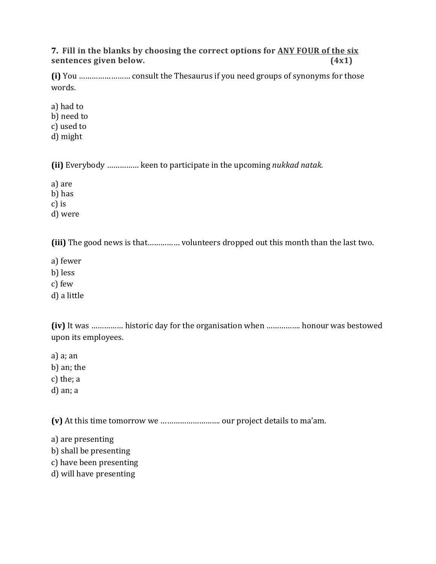**7. Fill in the blanks by choosing the correct options for ANY FOUR of the six sentences given below. (4x1)** 

**(i)** You …………………… consult the Thesaurus if you need groups of synonyms for those words.

a) had to b) need to c) used to

d) might

**(ii)** Everybody …………… keen to participate in the upcoming *nukkad natak.*

a) are

b) has

c) is

d) were

**(iii)** The good news is that…………… volunteers dropped out this month than the last two.

a) fewer

b) less

c) few

d) a little

**(iv)** It was …………… historic day for the organisation when ……………. honour was bestowed upon its employees.

a) a; an

b) an; the

c) the; a

d) an; a

**(v)** At this time tomorrow we ………………………. our project details to ma'am.

a) are presenting b) shall be presenting

c) have been presenting

d) will have presenting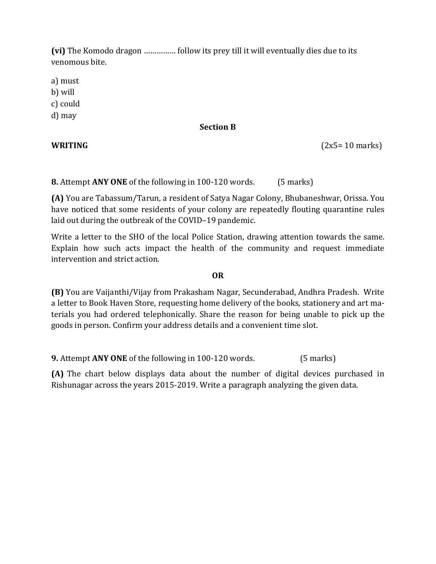**(vi)** The Komodo dragon …………… follow its prey till it will eventually dies due to its venomous bite.

a) must

b) will

c) could

d) may

# **Section B**

**WRITING**  $(2x5 = 10 \text{ marks})$ 

**8.** Attempt **ANY ONE** of the following in 100-120 words. (5 marks)

**(A)** You are Tabassum/Tarun, a resident of Satya Nagar Colony, Bhubaneshwar, Orissa. You have noticed that some residents of your colony are repeatedly flouting quarantine rules laid out during the outbreak of the COVID–19 pandemic.

Write a letter to the SHO of the local Police Station, drawing attention towards the same. Explain how such acts impact the health of the community and request immediate intervention and strict action.

#### **OR**

**(B)** You are Vaijanthi/Vijay from Prakasham Nagar, Secunderabad, Andhra Pradesh. Write a letter to Book Haven Store, requesting home delivery of the books, stationery and art materials you had ordered telephonically. Share the reason for being unable to pick up the goods in person. Confirm your address details and a convenient time slot.

**9.** Attempt **ANY ONE** of the following in 100-120 words. (5 marks)

**(A)** The chart below displays data about the number of digital devices purchased in Rishunagar across the years 2015-2019. Write a paragraph analyzing the given data.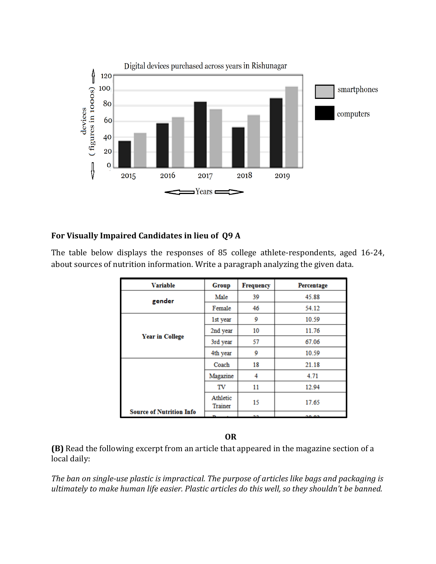

# **For Visually Impaired Candidates in lieu of Q9 A**

The table below displays the responses of 85 college athlete-respondents, aged 16-24, about sources of nutrition information. Write a paragraph analyzing the given data.

| <b>Variable</b>                 | Group               | <b>Frequency</b> | Percentage |
|---------------------------------|---------------------|------------------|------------|
| gender                          | Male                | 39               | 45.88      |
|                                 | Female              | 46               | 54.12      |
|                                 | 1st year            | 9                | 10.59      |
|                                 | 2nd year            | 10               | 11.76      |
| <b>Year in College</b>          | 3rd year            | 57               | 67.06      |
|                                 | 4th year            | 9                | 10.59      |
|                                 | Coach               | 18               | 21.18      |
|                                 | Magazine            | 4                | 4.71       |
|                                 | TV                  | 11               | 12.94      |
|                                 | Athletic<br>Trainer | 15               | 17.65      |
| <b>Source of Nutrition Info</b> |                     | $\sim$ $\sim$    | $- - - -$  |

**OR**

**(B)** Read the following excerpt from an article that appeared in the magazine section of a local daily:

*The ban on single-use plastic is impractical. The purpose of articles like bags and packaging is ultimately to make human life easier. Plastic articles do this well, so they shouldn't be banned.*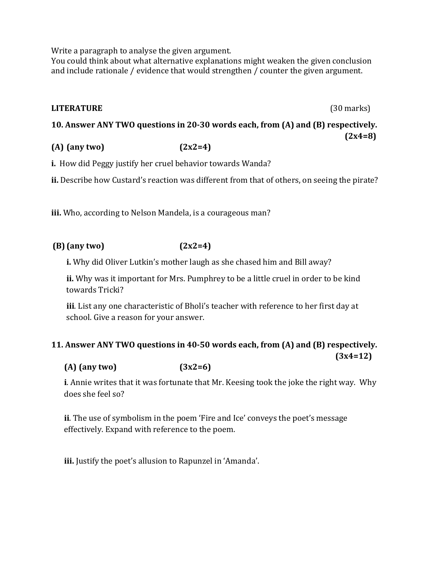Write a paragraph to analyse the given argument.

You could think about what alternative explanations might weaken the given conclusion and include rationale / evidence that would strengthen / counter the given argument.

#### **LITERATURE** (30 marks)

**10. Answer ANY TWO questions in 20-30 words each, from (A) and (B) respectively.**  $(2x4=8)$ 

**(A) (any two) (2x2=4)** 

**i.** How did Peggy justify her cruel behavior towards Wanda?

**ii.** Describe how Custard's reaction was different from that of others, on seeing the pirate?

**iii.** Who, according to Nelson Mandela, is a courageous man?

#### **(B) (any two) (2x2=4)**

**i.** Why did Oliver Lutkin's mother laugh as she chased him and Bill away?

**ii.** Why was it important for Mrs. Pumphrey to be a little cruel in order to be kind towards Tricki?

**iii**. List any one characteristic of Bholi's teacher with reference to her first day at school. Give a reason for your answer.

#### **11. Answer ANY TWO questions in 40-50 words each, from (A) and (B) respectively. (3x4=12)**

**(A) (any two) (3x2=6)**

**i**. Annie writes that it was fortunate that Mr. Keesing took the joke the right way. Why does she feel so?

**ii**. The use of symbolism in the poem 'Fire and Ice' conveys the poet's message effectively. Expand with reference to the poem.

**iii.** Justify the poet's allusion to Rapunzel in 'Amanda'.